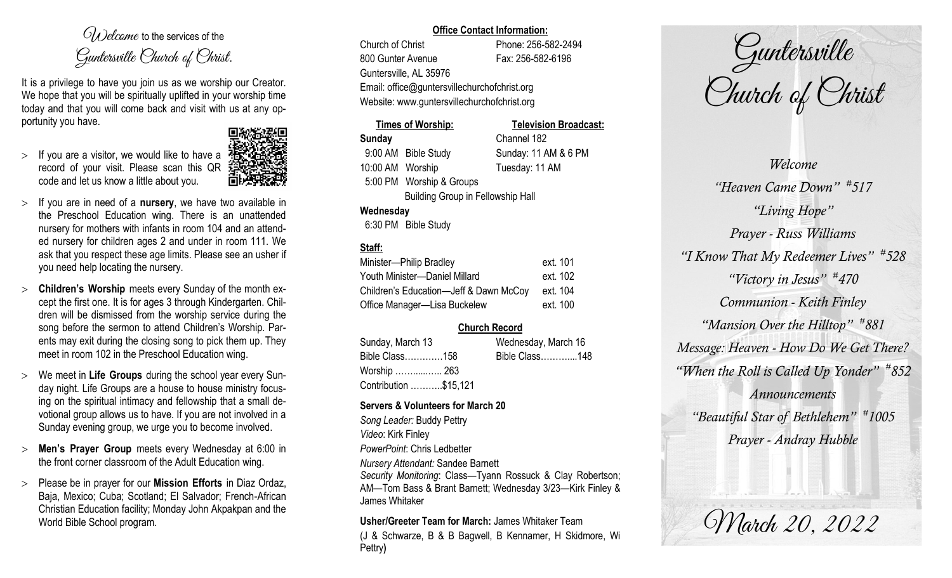$O(\lambda)$  elcame to the services of the Guntersville Church of Christ.

It is a privilege to have you join us as we worship our Creator. We hope that you will be spiritually uplifted in your worship time today and that you will come back and visit with us at any opportunity you have.

 $>$  If you are a visitor, we would like to have a record of your visit. Please scan this QR code and let us know a little about you.



- If you are in need of a **nursery**, we have two available in the Preschool Education wing. There is an unattended nursery for mothers with infants in room 104 and an attended nursery for children ages 2 and under in room 111. We ask that you respect these age limits. Please see an usher if you need help locating the nursery.
- **Children's Worship** meets every Sunday of the month except the first one. It is for ages 3 through Kindergarten. Children will be dismissed from the worship service during the song before the sermon to attend Children's Worship. Parents may exit during the closing song to pick them up. They meet in room 102 in the Preschool Education wing.
- We meet in **Life Groups** during the school year every Sunday night. Life Groups are a house to house ministry focusing on the spiritual intimacy and fellowship that a small devotional group allows us to have. If you are not involved in a Sunday evening group, we urge you to become involved.
- **Men's Prayer Group** meets every Wednesday at 6:00 in the front corner classroom of the Adult Education wing.
- Please be in prayer for our **Mission Efforts** in Diaz Ordaz, Baja, Mexico; Cuba; Scotland; El Salvador; French-African Christian Education facility; Monday John Akpakpan and the World Bible School program.

## **Office Contact Information:**

Church of Christ Phone: 256-582-2494 800 Gunter Avenue Fax: 256-582-6196 Guntersville, AL 35976 Email: office@guntersvillechurchofchrist.org Website: www.guntersvillechurchofchrist.org

# **Times of Worship: Television Broadcast:**

**Sunday** Channel 182 9:00 AM Bible Study Sunday: 11 AM & 6 PM 10:00 AM Worship Tuesday: 11 AM 5:00 PM Worship & Groups Building Group in Fellowship Hall

**Wednesday**

6:30 PM Bible Study

## **Staff:**

| Minister-Philip Bradley                | ext. 101 |
|----------------------------------------|----------|
| Youth Minister-Daniel Millard          | ext. 102 |
| Children's Education-Jeff & Dawn McCoy | ext. 104 |
| Office Manager-Lisa Buckelew           | ext. 100 |

## **Church Record**

| Sunday, March 13      | Wednesday, March 16 |  |
|-----------------------|---------------------|--|
| Bible Class158        | Bible Class148      |  |
| Worship  263          |                     |  |
| Contribution \$15,121 |                     |  |

## **Servers & Volunteers for March 20**

*Song Leader:* Buddy Pettry *Video*: Kirk Finley *PowerPoint*: Chris Ledbetter *Nursery Attendant:* Sandee Barnett *Security Monitoring*: Class—Tyann Rossuck & Clay Robertson; AM—Tom Bass & Brant Barnett; Wednesday 3/23—Kirk Finley & James Whitaker

**Usher/Greeter Team for March:** James Whitaker Team (J & Schwarze, B & B Bagwell, B Kennamer, H Skidmore, Wi Pettry**)** 

Guntersville Church of Christ

*Welcome "Heaven Came Down" # 517 "Living Hope" Prayer - Russ Williams "I Know That My Redeemer Lives" # 528 "Victory in Jesus" # 470 Communion - Keith Finley "Mansion Over the Hilltop" # 881 Message: Heaven - How Do We Get There? "When the Roll is Called Up Yonder" # 852 Announcements "Beautiful Star of Bethlehem" # 1005 Prayer - Andray Hubble*

March 20, 2022